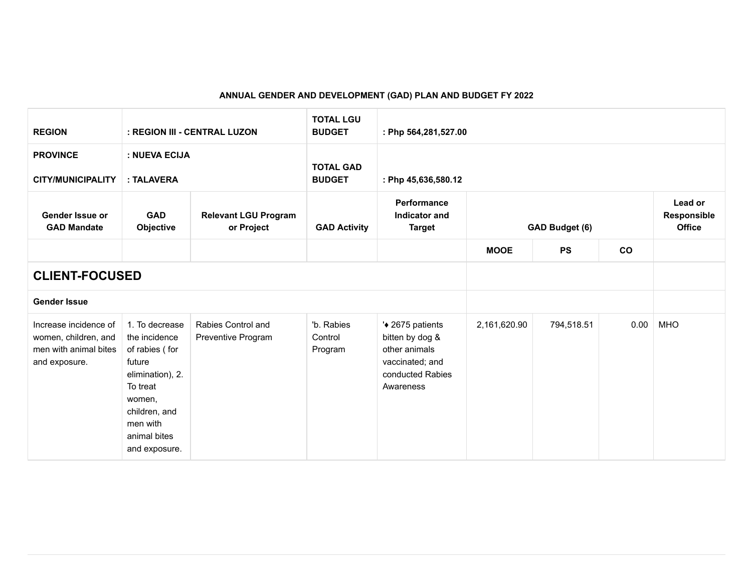## **ANNUAL GENDER AND DEVELOPMENT (GAD) PLAN AND BUDGET FY 2022**

| <b>REGION</b>                                                                           |                                                                                                                                                                     | : REGION III - CENTRAL LUZON              | <b>TOTAL LGU</b><br><b>BUDGET</b> | : Php 564,281,527.00                                                                                     |              |                |           |                                         |
|-----------------------------------------------------------------------------------------|---------------------------------------------------------------------------------------------------------------------------------------------------------------------|-------------------------------------------|-----------------------------------|----------------------------------------------------------------------------------------------------------|--------------|----------------|-----------|-----------------------------------------|
| <b>PROVINCE</b><br><b>CITY/MUNICIPALITY</b>                                             | : NUEVA ECIJA<br>: TALAVERA                                                                                                                                         |                                           | <b>TOTAL GAD</b><br><b>BUDGET</b> | : Php 45,636,580.12                                                                                      |              |                |           |                                         |
| Gender Issue or<br><b>GAD Mandate</b>                                                   | <b>GAD</b><br>Objective                                                                                                                                             | <b>Relevant LGU Program</b><br>or Project | <b>GAD Activity</b>               | Performance<br>Indicator and<br><b>Target</b>                                                            |              | GAD Budget (6) |           | Lead or<br>Responsible<br><b>Office</b> |
|                                                                                         |                                                                                                                                                                     |                                           |                                   |                                                                                                          | <b>MOOE</b>  | <b>PS</b>      | <b>CO</b> |                                         |
| <b>CLIENT-FOCUSED</b>                                                                   |                                                                                                                                                                     |                                           |                                   |                                                                                                          |              |                |           |                                         |
| <b>Gender Issue</b>                                                                     |                                                                                                                                                                     |                                           |                                   |                                                                                                          |              |                |           |                                         |
| Increase incidence of<br>women, children, and<br>men with animal bites<br>and exposure. | 1. To decrease<br>the incidence<br>of rabies (for<br>future<br>elimination), 2.<br>To treat<br>women,<br>children, and<br>men with<br>animal bites<br>and exposure. | Rabies Control and<br>Preventive Program  | 'b. Rabies<br>Control<br>Program  | '◆ 2675 patients<br>bitten by dog &<br>other animals<br>vaccinated; and<br>conducted Rabies<br>Awareness | 2,161,620.90 | 794,518.51     | 0.00      | <b>MHO</b>                              |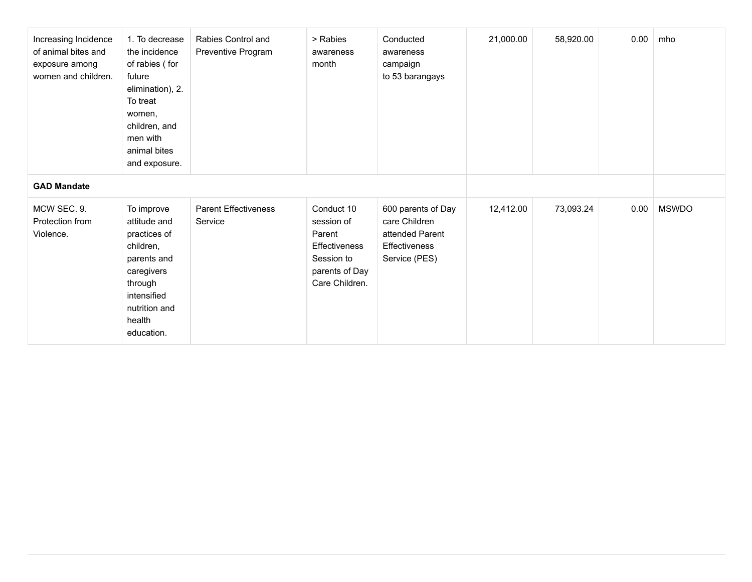| Increasing Incidence<br>of animal bites and<br>exposure among<br>women and children. | 1. To decrease<br>the incidence<br>of rabies (for<br>future<br>elimination), 2.<br>To treat<br>women,<br>children, and<br>men with<br>animal bites<br>and exposure. | Rabies Control and<br>Preventive Program | > Rabies<br>awareness<br>month                                                                               | Conducted<br>awareness<br>campaign<br>to 53 barangays                                           | 21,000.00 | 58,920.00 | 0.00 | mho          |
|--------------------------------------------------------------------------------------|---------------------------------------------------------------------------------------------------------------------------------------------------------------------|------------------------------------------|--------------------------------------------------------------------------------------------------------------|-------------------------------------------------------------------------------------------------|-----------|-----------|------|--------------|
| <b>GAD Mandate</b>                                                                   |                                                                                                                                                                     |                                          |                                                                                                              |                                                                                                 |           |           |      |              |
| MCW SEC. 9.<br>Protection from<br>Violence.                                          | To improve<br>attitude and<br>practices of<br>children,<br>parents and<br>caregivers<br>through<br>intensified<br>nutrition and<br>health<br>education.             | <b>Parent Effectiveness</b><br>Service   | Conduct 10<br>session of<br>Parent<br><b>Effectiveness</b><br>Session to<br>parents of Day<br>Care Children. | 600 parents of Day<br>care Children<br>attended Parent<br><b>Effectiveness</b><br>Service (PES) | 12,412.00 | 73,093.24 | 0.00 | <b>MSWDO</b> |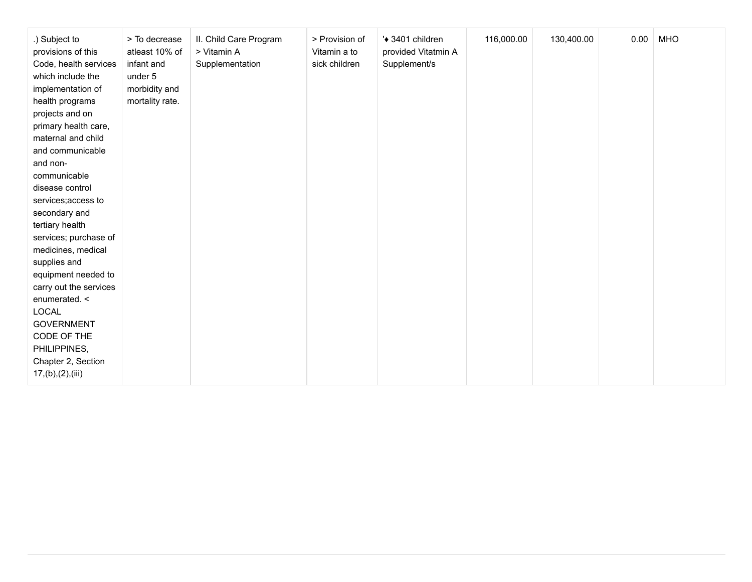| .) Subject to<br>provisions of this<br>Code, health services<br>which include the<br>implementation of<br>health programs<br>projects and on<br>primary health care,<br>maternal and child<br>and communicable<br>and non-<br>communicable<br>disease control | > To decrease<br>atleast 10% of<br>infant and<br>under 5<br>morbidity and<br>mortality rate. | II. Child Care Program<br>> Vitamin A<br>Supplementation | > Provision of<br>Vitamin a to<br>sick children | '◆ 3401 children<br>provided Vitatmin A<br>Supplement/s | 116,000.00 | 130,400.00 | 0.00 | <b>MHO</b> |
|---------------------------------------------------------------------------------------------------------------------------------------------------------------------------------------------------------------------------------------------------------------|----------------------------------------------------------------------------------------------|----------------------------------------------------------|-------------------------------------------------|---------------------------------------------------------|------------|------------|------|------------|
| services; access to<br>secondary and<br>tertiary health                                                                                                                                                                                                       |                                                                                              |                                                          |                                                 |                                                         |            |            |      |            |
| services; purchase of<br>medicines, medical<br>supplies and<br>equipment needed to                                                                                                                                                                            |                                                                                              |                                                          |                                                 |                                                         |            |            |      |            |
| carry out the services<br>enumerated. <<br>LOCAL<br><b>GOVERNMENT</b>                                                                                                                                                                                         |                                                                                              |                                                          |                                                 |                                                         |            |            |      |            |
| CODE OF THE<br>PHILIPPINES,<br>Chapter 2, Section<br>17,(b),(2),(iii)                                                                                                                                                                                         |                                                                                              |                                                          |                                                 |                                                         |            |            |      |            |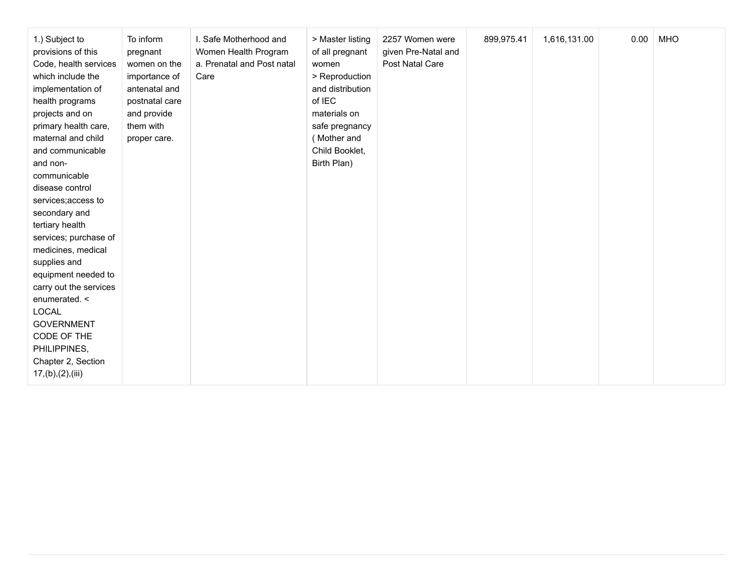| 1.) Subject to<br>provisions of this<br>Code, health services<br>which include the<br>implementation of<br>health programs<br>projects and on<br>primary health care,<br>maternal and child<br>and communicable<br>and non-<br>communicable<br>disease control<br>services; access to<br>secondary and<br>tertiary health<br>services; purchase of<br>medicines, medical<br>supplies and<br>equipment needed to<br>carry out the services<br>enumerated. <<br><b>LOCAL</b><br><b>GOVERNMENT</b><br>CODE OF THE<br>PHILIPPINES,<br>Chapter 2, Section<br>17,(b),(2),(iii) | To inform<br>pregnant<br>women on the<br>importance of<br>antenatal and<br>postnatal care<br>and provide<br>them with<br>proper care. | I. Safe Motherhood and<br>Women Health Program<br>a. Prenatal and Post natal<br>Care | > Master listing<br>of all pregnant<br>women<br>> Reproduction<br>and distribution<br>of IEC<br>materials on<br>safe pregnancy<br>(Mother and<br>Child Booklet,<br>Birth Plan) | 2257 Women were<br>given Pre-Natal and<br>Post Natal Care | 899,975.41 | 1,616,131.00 | 0.00 | <b>MHO</b> |
|--------------------------------------------------------------------------------------------------------------------------------------------------------------------------------------------------------------------------------------------------------------------------------------------------------------------------------------------------------------------------------------------------------------------------------------------------------------------------------------------------------------------------------------------------------------------------|---------------------------------------------------------------------------------------------------------------------------------------|--------------------------------------------------------------------------------------|--------------------------------------------------------------------------------------------------------------------------------------------------------------------------------|-----------------------------------------------------------|------------|--------------|------|------------|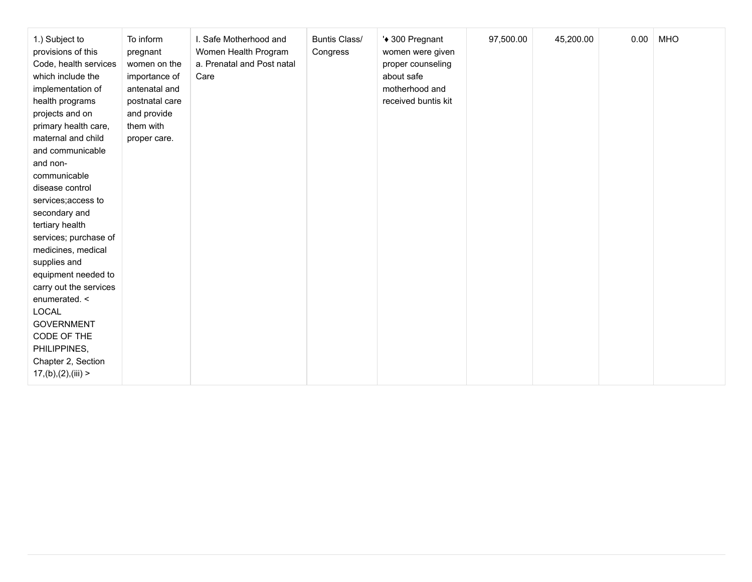| 1.) Subject to<br>provisions of this<br>Code, health services<br>which include the<br>implementation of<br>health programs<br>projects and on<br>primary health care,<br>maternal and child<br>and communicable<br>and non-<br>communicable<br>disease control<br>services; access to<br>secondary and<br>tertiary health<br>services; purchase of<br>medicines, medical<br>supplies and<br>equipment needed to<br>carry out the services<br>enumerated. <<br>LOCAL<br><b>GOVERNMENT</b><br>CODE OF THE<br>PHILIPPINES,<br>Chapter 2, Section | To inform<br>pregnant<br>women on the<br>importance of<br>antenatal and<br>postnatal care<br>and provide<br>them with<br>proper care. | I. Safe Motherhood and<br>Women Health Program<br>a. Prenatal and Post natal<br>Care | <b>Buntis Class/</b><br>Congress | '◆ 300 Pregnant<br>women were given<br>proper counseling<br>about safe<br>motherhood and<br>received buntis kit | 97,500.00 | 45,200.00 | 0.00 | <b>MHO</b> |
|-----------------------------------------------------------------------------------------------------------------------------------------------------------------------------------------------------------------------------------------------------------------------------------------------------------------------------------------------------------------------------------------------------------------------------------------------------------------------------------------------------------------------------------------------|---------------------------------------------------------------------------------------------------------------------------------------|--------------------------------------------------------------------------------------|----------------------------------|-----------------------------------------------------------------------------------------------------------------|-----------|-----------|------|------------|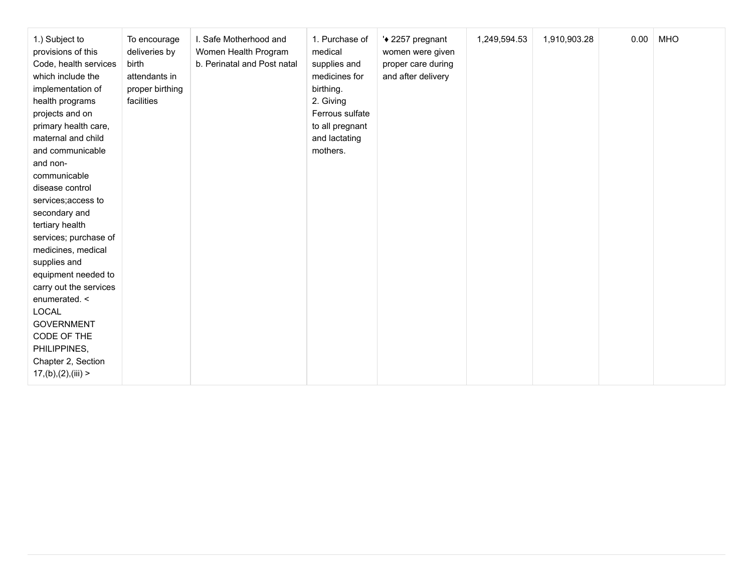| 1.) Subject to<br>provisions of this<br>Code, health services<br>which include the<br>implementation of<br>health programs<br>projects and on<br>primary health care,<br>maternal and child<br>and communicable<br>and non-<br>communicable<br>disease control<br>services; access to<br>secondary and<br>tertiary health<br>services; purchase of<br>medicines, medical<br>supplies and<br>equipment needed to<br>carry out the services<br>enumerated. <<br>LOCAL<br><b>GOVERNMENT</b><br>CODE OF THE<br>PHILIPPINES,<br>Chapter 2, Section | To encourage<br>deliveries by<br>birth<br>attendants in<br>proper birthing<br>facilities | I. Safe Motherhood and<br>Women Health Program<br>b. Perinatal and Post natal | 1. Purchase of<br>medical<br>supplies and<br>medicines for<br>birthing.<br>2. Giving<br>Ferrous sulfate<br>to all pregnant<br>and lactating<br>mothers. | '◆ 2257 pregnant<br>women were given<br>proper care during<br>and after delivery | 1,249,594.53 | 1,910,903.28 | 0.00 | <b>MHO</b> |
|-----------------------------------------------------------------------------------------------------------------------------------------------------------------------------------------------------------------------------------------------------------------------------------------------------------------------------------------------------------------------------------------------------------------------------------------------------------------------------------------------------------------------------------------------|------------------------------------------------------------------------------------------|-------------------------------------------------------------------------------|---------------------------------------------------------------------------------------------------------------------------------------------------------|----------------------------------------------------------------------------------|--------------|--------------|------|------------|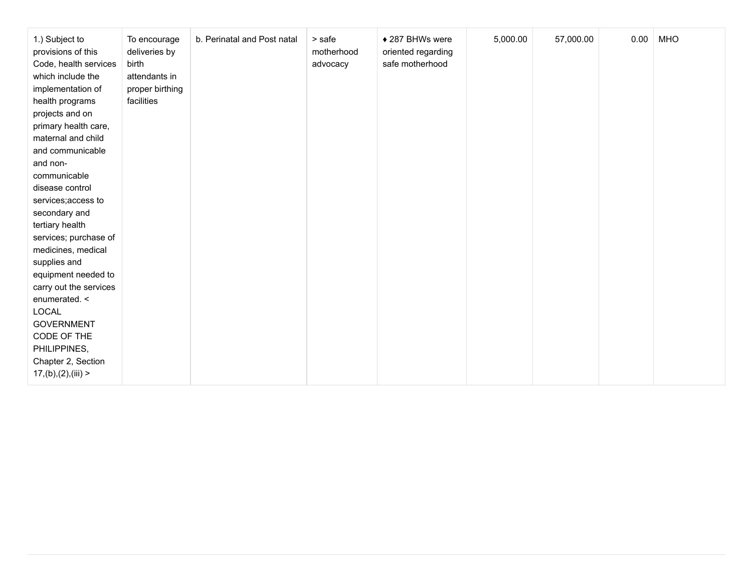| 1.) Subject to<br>provisions of this<br>Code, health services<br>which include the<br>implementation of<br>health programs<br>projects and on<br>primary health care,<br>maternal and child<br>and communicable<br>and non-<br>communicable | To encourage<br>deliveries by<br>birth<br>attendants in<br>proper birthing<br>facilities | b. Perinatal and Post natal | > safe<br>motherhood<br>advocacy | ◆ 287 BHWs were<br>oriented regarding<br>safe motherhood | 5,000.00 | 57,000.00 | 0.00 | <b>MHO</b> |
|---------------------------------------------------------------------------------------------------------------------------------------------------------------------------------------------------------------------------------------------|------------------------------------------------------------------------------------------|-----------------------------|----------------------------------|----------------------------------------------------------|----------|-----------|------|------------|
| disease control                                                                                                                                                                                                                             |                                                                                          |                             |                                  |                                                          |          |           |      |            |
| services; access to                                                                                                                                                                                                                         |                                                                                          |                             |                                  |                                                          |          |           |      |            |
| secondary and                                                                                                                                                                                                                               |                                                                                          |                             |                                  |                                                          |          |           |      |            |
| tertiary health                                                                                                                                                                                                                             |                                                                                          |                             |                                  |                                                          |          |           |      |            |
| services; purchase of                                                                                                                                                                                                                       |                                                                                          |                             |                                  |                                                          |          |           |      |            |
| medicines, medical                                                                                                                                                                                                                          |                                                                                          |                             |                                  |                                                          |          |           |      |            |
| supplies and                                                                                                                                                                                                                                |                                                                                          |                             |                                  |                                                          |          |           |      |            |
| equipment needed to                                                                                                                                                                                                                         |                                                                                          |                             |                                  |                                                          |          |           |      |            |
| carry out the services                                                                                                                                                                                                                      |                                                                                          |                             |                                  |                                                          |          |           |      |            |
| enumerated. <                                                                                                                                                                                                                               |                                                                                          |                             |                                  |                                                          |          |           |      |            |
| LOCAL                                                                                                                                                                                                                                       |                                                                                          |                             |                                  |                                                          |          |           |      |            |
| <b>GOVERNMENT</b><br>CODE OF THE                                                                                                                                                                                                            |                                                                                          |                             |                                  |                                                          |          |           |      |            |
| PHILIPPINES,                                                                                                                                                                                                                                |                                                                                          |                             |                                  |                                                          |          |           |      |            |
| Chapter 2, Section                                                                                                                                                                                                                          |                                                                                          |                             |                                  |                                                          |          |           |      |            |
| 17,(b),(2),(iii)                                                                                                                                                                                                                            |                                                                                          |                             |                                  |                                                          |          |           |      |            |
|                                                                                                                                                                                                                                             |                                                                                          |                             |                                  |                                                          |          |           |      |            |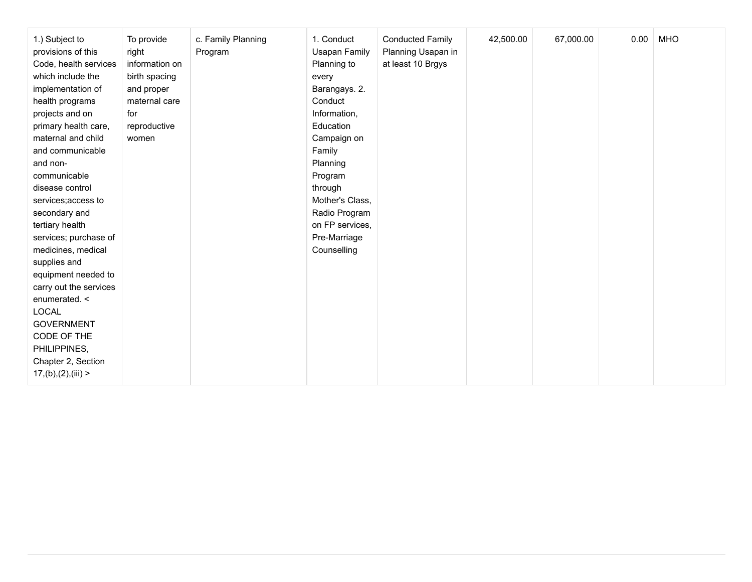| 1.) Subject to<br>provisions of this<br>Code, health services<br>which include the<br>implementation of<br>health programs<br>projects and on<br>primary health care,<br>maternal and child<br>and communicable<br>and non-<br>communicable<br>disease control<br>services; access to<br>secondary and<br>tertiary health<br>services; purchase of<br>medicines, medical<br>supplies and<br>equipment needed to<br>carry out the services<br>enumerated. <<br><b>LOCAL</b><br><b>GOVERNMENT</b><br>CODE OF THE<br>PHILIPPINES, | To provide<br>right<br>information on<br>birth spacing<br>and proper<br>maternal care<br>for<br>reproductive<br>women | c. Family Planning<br>Program | 1. Conduct<br><b>Usapan Family</b><br>Planning to<br>every<br>Barangays. 2.<br>Conduct<br>Information,<br>Education<br>Campaign on<br>Family<br>Planning<br>Program<br>through<br>Mother's Class,<br>Radio Program<br>on FP services,<br>Pre-Marriage<br>Counselling | <b>Conducted Family</b><br>Planning Usapan in<br>at least 10 Brgys | 42,500.00 | 67,000.00 | 0.00 | <b>MHO</b> |
|--------------------------------------------------------------------------------------------------------------------------------------------------------------------------------------------------------------------------------------------------------------------------------------------------------------------------------------------------------------------------------------------------------------------------------------------------------------------------------------------------------------------------------|-----------------------------------------------------------------------------------------------------------------------|-------------------------------|----------------------------------------------------------------------------------------------------------------------------------------------------------------------------------------------------------------------------------------------------------------------|--------------------------------------------------------------------|-----------|-----------|------|------------|
| Chapter 2, Section<br>17,(b),(2),(iii)                                                                                                                                                                                                                                                                                                                                                                                                                                                                                         |                                                                                                                       |                               |                                                                                                                                                                                                                                                                      |                                                                    |           |           |      |            |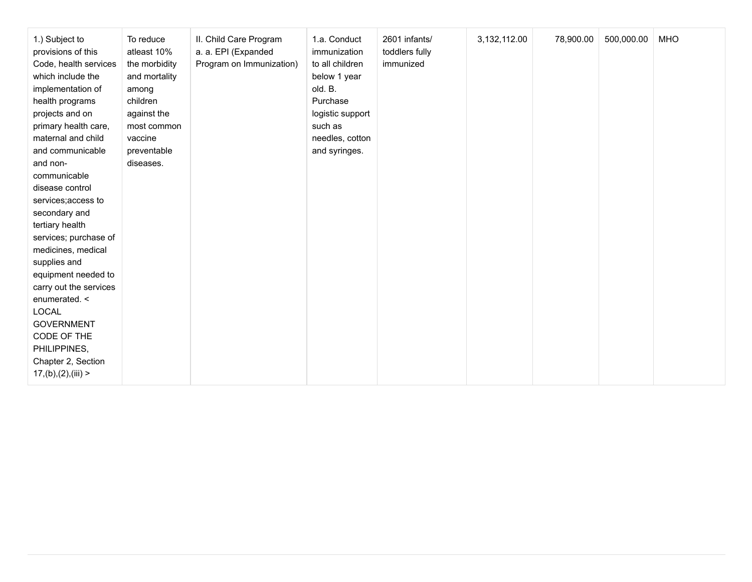| 1.) Subject to<br>provisions of this<br>Code, health services<br>which include the<br>implementation of<br>health programs<br>projects and on<br>primary health care,<br>maternal and child<br>and communicable<br>and non-<br>communicable<br>disease control<br>services; access to<br>secondary and<br>tertiary health<br>services; purchase of<br>medicines, medical<br>supplies and<br>equipment needed to<br>carry out the services<br>enumerated. <<br>LOCAL<br><b>GOVERNMENT</b><br>CODE OF THE<br>PHILIPPINES,<br>Chapter 2, Section<br>17,(b),(2),(iii) | To reduce<br>atleast 10%<br>the morbidity<br>and mortality<br>among<br>children<br>against the<br>most common<br>vaccine<br>preventable<br>diseases. | II. Child Care Program<br>a. a. EPI (Expanded<br>Program on Immunization) | 1.a. Conduct<br>immunization<br>to all children<br>below 1 year<br>old. B.<br>Purchase<br>logistic support<br>such as<br>needles, cotton<br>and syringes. | 2601 infants/<br>toddlers fully<br>immunized | 3,132,112.00 | 78,900.00 | 500,000.00 | <b>MHO</b> |
|-------------------------------------------------------------------------------------------------------------------------------------------------------------------------------------------------------------------------------------------------------------------------------------------------------------------------------------------------------------------------------------------------------------------------------------------------------------------------------------------------------------------------------------------------------------------|------------------------------------------------------------------------------------------------------------------------------------------------------|---------------------------------------------------------------------------|-----------------------------------------------------------------------------------------------------------------------------------------------------------|----------------------------------------------|--------------|-----------|------------|------------|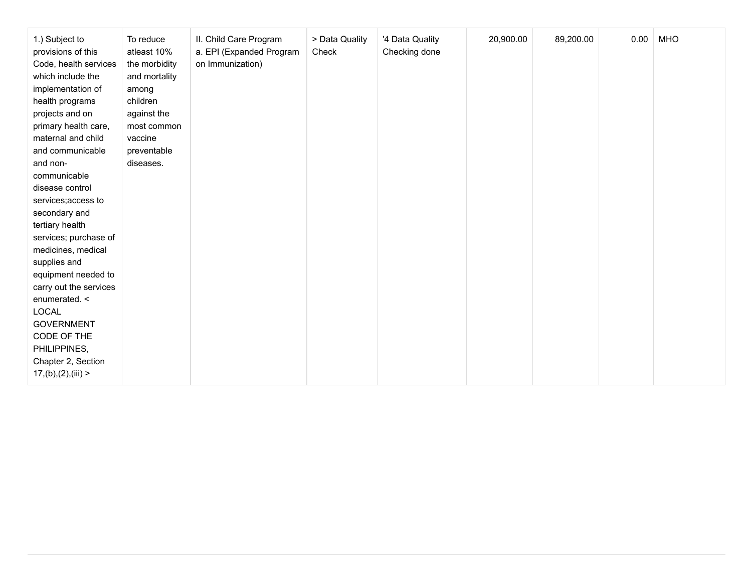| 1.) Subject to<br>provisions of this<br>Code, health services<br>which include the<br>implementation of<br>health programs<br>projects and on<br>primary health care,<br>maternal and child<br>and communicable<br>and non-<br>communicable<br>disease control<br>services; access to<br>secondary and<br>tertiary health<br>services; purchase of<br>medicines, medical<br>supplies and<br>equipment needed to<br>carry out the services<br>enumerated. <<br>LOCAL<br><b>GOVERNMENT</b><br>CODE OF THE<br>PHILIPPINES,<br>Chapter 2, Section | II. Child Care Program<br>To reduce<br>atleast 10%<br>a. EPI (Expanded Program<br>on Immunization)<br>the morbidity<br>and mortality<br>among<br>children<br>against the<br>most common<br>vaccine<br>preventable<br>diseases. | > Data Quality<br>Check | 20,900.00<br>'4 Data Quality<br>Checking done | 89,200.00 | 0.00 | <b>MHO</b> |
|-----------------------------------------------------------------------------------------------------------------------------------------------------------------------------------------------------------------------------------------------------------------------------------------------------------------------------------------------------------------------------------------------------------------------------------------------------------------------------------------------------------------------------------------------|--------------------------------------------------------------------------------------------------------------------------------------------------------------------------------------------------------------------------------|-------------------------|-----------------------------------------------|-----------|------|------------|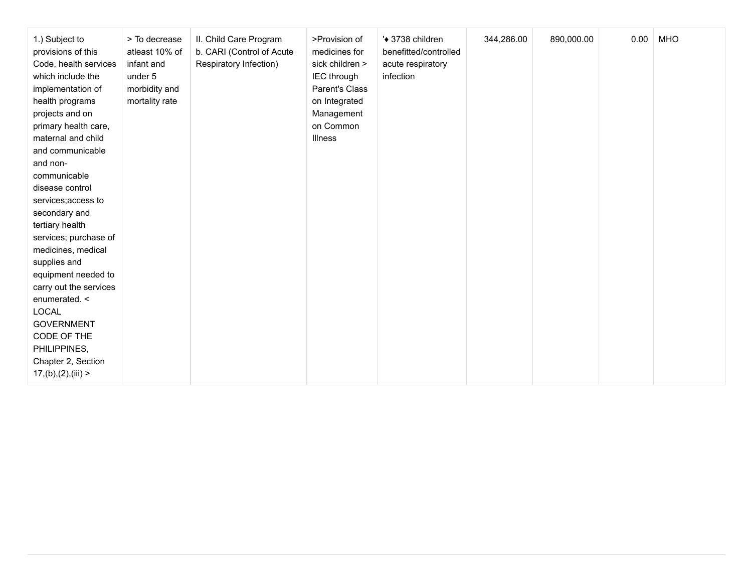| 1.) Subject to<br>provisions of this<br>Code, health services<br>which include the<br>implementation of<br>health programs<br>projects and on<br>primary health care,<br>maternal and child<br>and communicable<br>and non-<br>communicable<br>disease control<br>services; access to<br>secondary and<br>tertiary health<br>services; purchase of<br>medicines, medical<br>supplies and<br>equipment needed to<br>carry out the services<br>enumerated. <<br>LOCAL<br><b>GOVERNMENT</b><br>CODE OF THE<br>PHILIPPINES,<br>Chapter 2, Section | > To decrease<br>atleast 10% of<br>infant and<br>under 5<br>morbidity and<br>mortality rate | II. Child Care Program<br>b. CARI (Control of Acute<br>Respiratory Infection) | >Provision of<br>medicines for<br>sick children ><br>IEC through<br>Parent's Class<br>on Integrated<br>Management<br>on Common<br>Illness | '◆ 3738 children<br>benefitted/controlled<br>acute respiratory<br>infection | 344,286.00 | 890,000.00 | 0.00 | <b>MHO</b> |
|-----------------------------------------------------------------------------------------------------------------------------------------------------------------------------------------------------------------------------------------------------------------------------------------------------------------------------------------------------------------------------------------------------------------------------------------------------------------------------------------------------------------------------------------------|---------------------------------------------------------------------------------------------|-------------------------------------------------------------------------------|-------------------------------------------------------------------------------------------------------------------------------------------|-----------------------------------------------------------------------------|------------|------------|------|------------|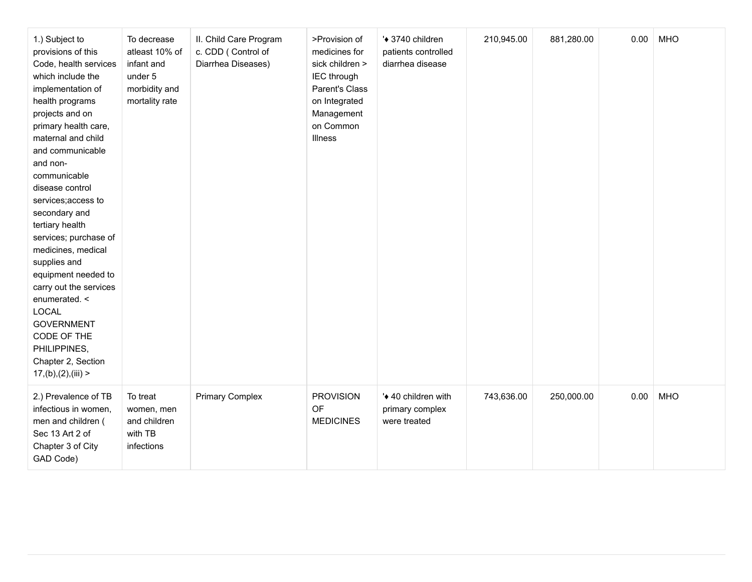| 1.) Subject to<br>provisions of this<br>Code, health services<br>which include the<br>implementation of<br>health programs<br>projects and on<br>primary health care,<br>maternal and child<br>and communicable<br>and non-<br>communicable<br>disease control<br>services; access to<br>secondary and<br>tertiary health<br>services; purchase of<br>medicines, medical<br>supplies and<br>equipment needed to<br>carry out the services<br>enumerated. <<br><b>LOCAL</b><br><b>GOVERNMENT</b><br>CODE OF THE<br>PHILIPPINES,<br>Chapter 2, Section<br>17,(b),(2),(iii) | To decrease<br>atleast 10% of<br>infant and<br>under 5<br>morbidity and<br>mortality rate | II. Child Care Program<br>c. CDD (Control of<br>Diarrhea Diseases) | >Provision of<br>medicines for<br>sick children ><br>IEC through<br>Parent's Class<br>on Integrated<br>Management<br>on Common<br>Illness | '◆ 3740 children<br>patients controlled<br>diarrhea disease | 210,945.00 | 881,280.00 | 0.00 | <b>MHO</b> |
|--------------------------------------------------------------------------------------------------------------------------------------------------------------------------------------------------------------------------------------------------------------------------------------------------------------------------------------------------------------------------------------------------------------------------------------------------------------------------------------------------------------------------------------------------------------------------|-------------------------------------------------------------------------------------------|--------------------------------------------------------------------|-------------------------------------------------------------------------------------------------------------------------------------------|-------------------------------------------------------------|------------|------------|------|------------|
| 2.) Prevalence of TB<br>infectious in women,<br>men and children (<br>Sec 13 Art 2 of<br>Chapter 3 of City<br>GAD Code)                                                                                                                                                                                                                                                                                                                                                                                                                                                  | To treat<br>women, men<br>and children<br>with TB<br>infections                           | <b>Primary Complex</b>                                             | <b>PROVISION</b><br>OF<br><b>MEDICINES</b>                                                                                                | '◆ 40 children with<br>primary complex<br>were treated      | 743,636.00 | 250,000.00 | 0.00 | <b>MHO</b> |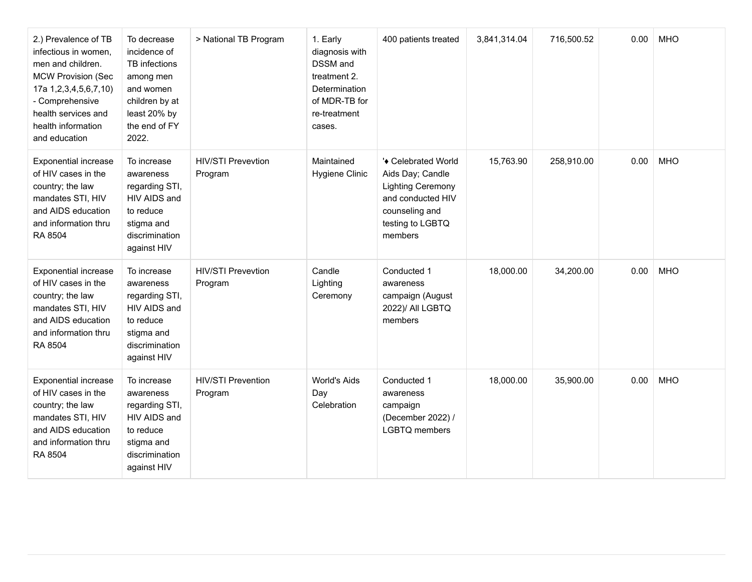| 2.) Prevalence of TB<br>infectious in women,<br>men and children.<br><b>MCW Provision (Sec</b><br>17a 1,2,3,4,5,6,7,10)<br>- Comprehensive<br>health services and<br>health information<br>and education | To decrease<br>incidence of<br>TB infections<br>among men<br>and women<br>children by at<br>least 20% by<br>the end of FY<br>2022. | > National TB Program                | 1. Early<br>diagnosis with<br><b>DSSM</b> and<br>treatment 2.<br><b>Determination</b><br>of MDR-TB for<br>re-treatment<br>cases. | 400 patients treated                                                                                                                      | 3,841,314.04 | 716,500.52 | 0.00 | <b>MHO</b> |
|----------------------------------------------------------------------------------------------------------------------------------------------------------------------------------------------------------|------------------------------------------------------------------------------------------------------------------------------------|--------------------------------------|----------------------------------------------------------------------------------------------------------------------------------|-------------------------------------------------------------------------------------------------------------------------------------------|--------------|------------|------|------------|
| <b>Exponential increase</b><br>of HIV cases in the<br>country; the law<br>mandates STI, HIV<br>and AIDS education<br>and information thru<br>RA 8504                                                     | To increase<br>awareness<br>regarding STI,<br>HIV AIDS and<br>to reduce<br>stigma and<br>discrimination<br>against HIV             | <b>HIV/STI Prevevtion</b><br>Program | Maintained<br>Hygiene Clinic                                                                                                     | '◆ Celebrated World<br>Aids Day; Candle<br><b>Lighting Ceremony</b><br>and conducted HIV<br>counseling and<br>testing to LGBTQ<br>members | 15,763.90    | 258,910.00 | 0.00 | <b>MHO</b> |
| <b>Exponential increase</b><br>of HIV cases in the<br>country; the law<br>mandates STI, HIV<br>and AIDS education<br>and information thru<br>RA 8504                                                     | To increase<br>awareness<br>regarding STI,<br>HIV AIDS and<br>to reduce<br>stigma and<br>discrimination<br>against HIV             | <b>HIV/STI Prevevtion</b><br>Program | Candle<br>Lighting<br>Ceremony                                                                                                   | Conducted 1<br>awareness<br>campaign (August<br>2022)/ All LGBTQ<br>members                                                               | 18,000.00    | 34,200.00  | 0.00 | <b>MHO</b> |
| <b>Exponential increase</b><br>of HIV cases in the<br>country; the law<br>mandates STI, HIV<br>and AIDS education<br>and information thru<br>RA 8504                                                     | To increase<br>awareness<br>regarding STI,<br>HIV AIDS and<br>to reduce<br>stigma and<br>discrimination<br>against HIV             | <b>HIV/STI Prevention</b><br>Program | World's Aids<br>Day<br>Celebration                                                                                               | Conducted 1<br>awareness<br>campaign<br>(December 2022) /<br><b>LGBTQ</b> members                                                         | 18,000.00    | 35,900.00  | 0.00 | <b>MHO</b> |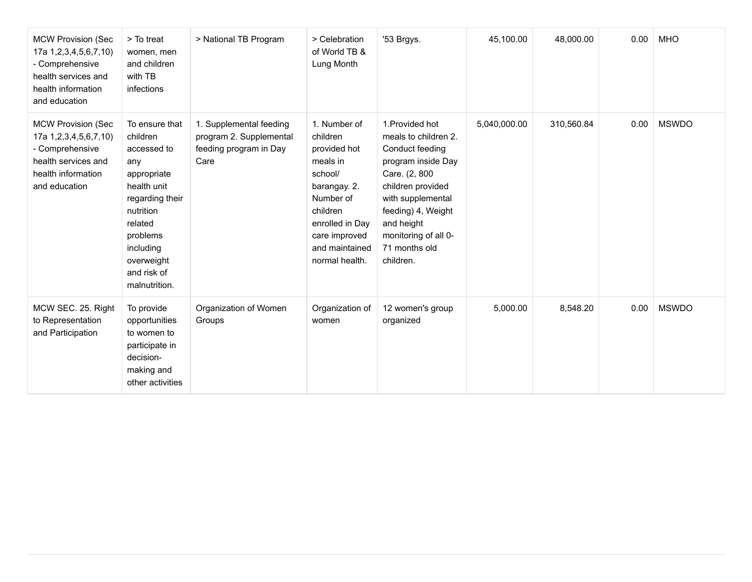| <b>MCW Provision (Sec</b><br>17a 1,2,3,4,5,6,7,10)<br>- Comprehensive<br>health services and<br>health information<br>and education        | > To treat<br>women, men<br>and children<br>with TB<br>infections                                                                                                                                | > National TB Program                                                                | > Celebration<br>of World TB &<br>Lung Month                                                                                                                                     | '53 Brgys.                                                                                                                                                                                                                            | 45,100.00    | 48,000.00  | 0.00 | <b>MHO</b>   |
|--------------------------------------------------------------------------------------------------------------------------------------------|--------------------------------------------------------------------------------------------------------------------------------------------------------------------------------------------------|--------------------------------------------------------------------------------------|----------------------------------------------------------------------------------------------------------------------------------------------------------------------------------|---------------------------------------------------------------------------------------------------------------------------------------------------------------------------------------------------------------------------------------|--------------|------------|------|--------------|
| <b>MCW Provision (Sec</b><br>17a 1, 2, 3, 4, 5, 6, 7, 10)<br>- Comprehensive<br>health services and<br>health information<br>and education | To ensure that<br>children<br>accessed to<br>any<br>appropriate<br>health unit<br>regarding their<br>nutrition<br>related<br>problems<br>including<br>overweight<br>and risk of<br>malnutrition. | 1. Supplemental feeding<br>program 2. Supplemental<br>feeding program in Day<br>Care | 1. Number of<br>children<br>provided hot<br>meals in<br>school/<br>barangay. 2.<br>Number of<br>children<br>enrolled in Day<br>care improved<br>and maintained<br>normal health. | 1. Provided hot<br>meals to children 2.<br>Conduct feeding<br>program inside Day<br>Care. (2, 800<br>children provided<br>with supplemental<br>feeding) 4, Weight<br>and height<br>monitoring of all 0-<br>71 months old<br>children. | 5,040,000.00 | 310,560.84 | 0.00 | <b>MSWDO</b> |
| MCW SEC. 25. Right<br>to Representation<br>and Participation                                                                               | To provide<br>opportunities<br>to women to<br>participate in<br>decision-<br>making and<br>other activities                                                                                      | Organization of Women<br>Groups                                                      | Organization of<br>women                                                                                                                                                         | 12 women's group<br>organized                                                                                                                                                                                                         | 5,000.00     | 8,548.20   | 0.00 | <b>MSWDO</b> |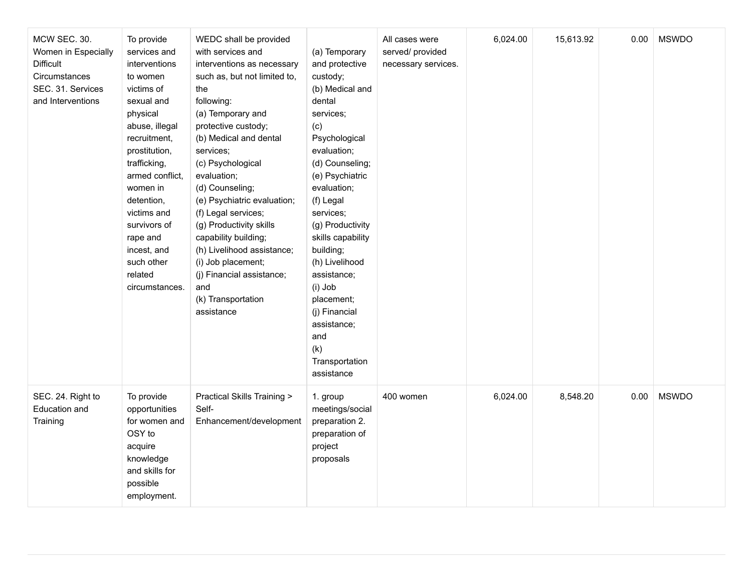| MCW SEC. 30.<br>Women in Especially<br><b>Difficult</b><br>Circumstances<br>SEC. 31. Services<br>and Interventions | To provide<br>services and<br>interventions<br>to women<br>victims of<br>sexual and<br>physical<br>abuse, illegal<br>recruitment,<br>prostitution,<br>trafficking,<br>armed conflict,<br>women in<br>detention,<br>victims and<br>survivors of<br>rape and<br>incest, and<br>such other<br>related<br>circumstances. | WEDC shall be provided<br>with services and<br>interventions as necessary<br>such as, but not limited to,<br>the<br>following:<br>(a) Temporary and<br>protective custody;<br>(b) Medical and dental<br>services;<br>(c) Psychological<br>evaluation;<br>(d) Counseling;<br>(e) Psychiatric evaluation;<br>(f) Legal services;<br>(g) Productivity skills<br>capability building;<br>(h) Livelihood assistance;<br>(i) Job placement;<br>(j) Financial assistance;<br>and<br>(k) Transportation<br>assistance | (a) Temporary<br>and protective<br>custody;<br>(b) Medical and<br>dental<br>services;<br>(c)<br>Psychological<br>evaluation;<br>(d) Counseling;<br>(e) Psychiatric<br>evaluation;<br>(f) Legal<br>services;<br>(g) Productivity<br>skills capability<br>building;<br>(h) Livelihood<br>assistance;<br>(i) Job<br>placement;<br>(j) Financial<br>assistance;<br>and<br>(k)<br>Transportation<br>assistance | All cases were<br>served/ provided<br>necessary services. | 6,024.00 | 15,613.92 | 0.00 | <b>MSWDO</b> |
|--------------------------------------------------------------------------------------------------------------------|----------------------------------------------------------------------------------------------------------------------------------------------------------------------------------------------------------------------------------------------------------------------------------------------------------------------|---------------------------------------------------------------------------------------------------------------------------------------------------------------------------------------------------------------------------------------------------------------------------------------------------------------------------------------------------------------------------------------------------------------------------------------------------------------------------------------------------------------|-----------------------------------------------------------------------------------------------------------------------------------------------------------------------------------------------------------------------------------------------------------------------------------------------------------------------------------------------------------------------------------------------------------|-----------------------------------------------------------|----------|-----------|------|--------------|
| SEC. 24. Right to<br><b>Education and</b><br>Training                                                              | To provide<br>opportunities<br>for women and<br>OSY to<br>acquire<br>knowledge<br>and skills for<br>possible<br>employment.                                                                                                                                                                                          | <b>Practical Skills Training &gt;</b><br>Self-<br>Enhancement/development                                                                                                                                                                                                                                                                                                                                                                                                                                     | 1. group<br>meetings/social<br>preparation 2.<br>preparation of<br>project<br>proposals                                                                                                                                                                                                                                                                                                                   | 400 women                                                 | 6,024.00 | 8,548.20  | 0.00 | <b>MSWDO</b> |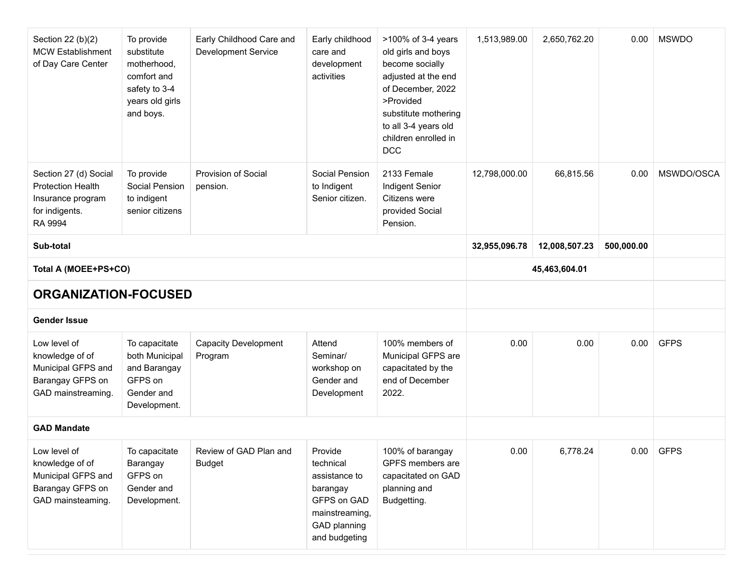| Section 22 (b)(2)<br><b>MCW Establishment</b><br>of Day Care Center                                 | To provide<br>substitute<br>motherhood,<br>comfort and<br>safety to 3-4<br>years old girls<br>and boys. | Early Childhood Care and<br><b>Development Service</b> | Early childhood<br>care and<br>development<br>activities                                                            | >100% of 3-4 years<br>old girls and boys<br>become socially<br>adjusted at the end<br>of December, 2022<br>>Provided<br>substitute mothering<br>to all 3-4 years old<br>children enrolled in<br><b>DCC</b> | 1,513,989.00  | 2,650,762.20  | 0.00 | <b>MSWDO</b> |
|-----------------------------------------------------------------------------------------------------|---------------------------------------------------------------------------------------------------------|--------------------------------------------------------|---------------------------------------------------------------------------------------------------------------------|------------------------------------------------------------------------------------------------------------------------------------------------------------------------------------------------------------|---------------|---------------|------|--------------|
| Section 27 (d) Social<br><b>Protection Health</b><br>Insurance program<br>for indigents.<br>RA 9994 | To provide<br>Social Pension<br>to indigent<br>senior citizens                                          | <b>Provision of Social</b><br>pension.                 | Social Pension<br>to Indigent<br>Senior citizen.                                                                    | 2133 Female<br>Indigent Senior<br>Citizens were<br>provided Social<br>Pension.                                                                                                                             | 12,798,000.00 | 66,815.56     | 0.00 | MSWDO/OSCA   |
| Sub-total                                                                                           |                                                                                                         |                                                        | 32,955,096.78                                                                                                       | 12,008,507.23                                                                                                                                                                                              | 500,000.00    |               |      |              |
| Total A (MOEE+PS+CO)                                                                                |                                                                                                         |                                                        |                                                                                                                     |                                                                                                                                                                                                            |               | 45,463,604.01 |      |              |
| <b>ORGANIZATION-FOCUSED</b>                                                                         |                                                                                                         |                                                        |                                                                                                                     |                                                                                                                                                                                                            |               |               |      |              |
| <b>Gender Issue</b>                                                                                 |                                                                                                         |                                                        |                                                                                                                     |                                                                                                                                                                                                            |               |               |      |              |
| Low level of<br>knowledge of of<br>Municipal GFPS and<br>Barangay GFPS on<br>GAD mainstreaming.     | To capacitate<br>both Municipal<br>and Barangay<br>GFPS on<br>Gender and<br>Development.                | <b>Capacity Development</b><br>Program                 | Attend<br>Seminar/<br>workshop on<br>Gender and<br>Development                                                      | 100% members of<br>Municipal GFPS are<br>capacitated by the<br>end of December<br>2022.                                                                                                                    | 0.00          | 0.00          | 0.00 | <b>GFPS</b>  |
| <b>GAD Mandate</b>                                                                                  |                                                                                                         |                                                        |                                                                                                                     |                                                                                                                                                                                                            |               |               |      |              |
| Low level of<br>knowledge of of<br>Municipal GFPS and<br>Barangay GFPS on<br>GAD mainsteaming.      | To capacitate<br>Barangay<br>GFPS on<br>Gender and<br>Development.                                      | Review of GAD Plan and<br><b>Budget</b>                | Provide<br>technical<br>assistance to<br>barangay<br>GFPS on GAD<br>mainstreaming,<br>GAD planning<br>and budgeting | 100% of barangay<br>GPFS members are<br>capacitated on GAD<br>planning and<br>Budgetting.                                                                                                                  | 0.00          | 6,778.24      | 0.00 | <b>GFPS</b>  |